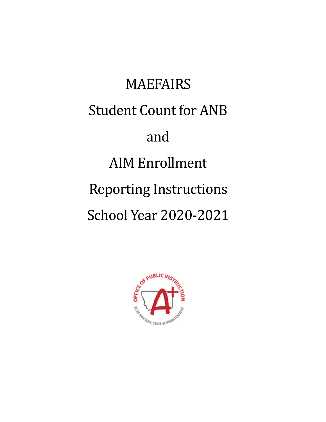# MAEFAIRS Student Count for ANB and AIM Enrollment Reporting Instructions School Year 2020-2021

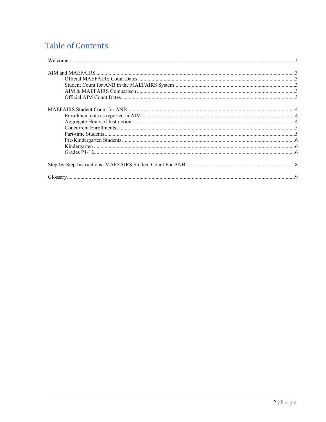# **Table of Contents**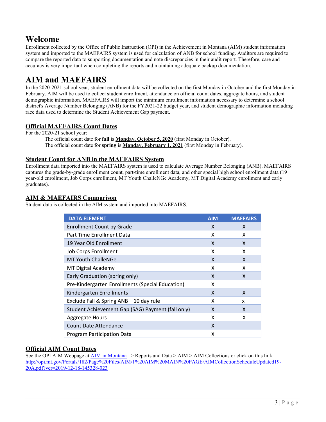# **Welcome**

Enrollment collected by the Office of Public Instruction (OPI) in the Achievement in Montana (AIM) student information system and imported to the MAEFAIRS system is used for calculation of ANB for school funding. Auditors are required to compare the reported data to supporting documentation and note discrepancies in their audit report. Therefore, care and accuracy is very important when completing the reports and maintaining adequate backup documentation.

# **AIM and MAEFAIRS**

In the 2020-2021 school year, student enrollment data will be collected on the first Monday in October and the first Monday in February. AIM will be used to collect student enrollment, attendance on official count dates, aggregate hours, and student demographic information. MAEFAIRS will import the minimum enrollment information necessary to determine a school district's Average Number Belonging (ANB) for the FY2021-22 budget year, and student demographic information including race data used to determine the Student Achievement Gap payment.

## **Official MAEFAIRS Count Dates**

For the 2020-21 school year:

The official count date for **fall** is **Monday, October 5, 2020** (first Monday in October). The official count date for **spring** is **Monday, February 1, 2021** (first Monday in February).

## **Student Count for ANB in the MAEFAIRS System**

Enrollment data imported into the MAEFAIRS system is used to calculate Average Number Belonging (ANB). MAEFAIRS captures the grade-by-grade enrollment count, part-time enrollment data, and other special high school enrollment data (19 year-old enrollment, Job Corps enrollment, MT Youth ChalleNGe Academy, MT Digital Academy enrollment and early graduates).

### **AIM & MAEFAIRS Comparison**

Student data is collected in the AIM system and imported into MAEFAIRS.

| <b>DATA ELEMENT</b>                               | <b>AIM</b> | <b>MAEFAIRS</b> |
|---------------------------------------------------|------------|-----------------|
| <b>Enrollment Count by Grade</b>                  | X          | X               |
| Part Time Enrollment Data                         | x          | x               |
| 19 Year Old Enrollment                            | X          | X               |
| <b>Job Corps Enrollment</b>                       | X          | X               |
| <b>MT Youth ChalleNGe</b>                         | X          | X               |
| MT Digital Academy                                | X          | x               |
| Early Graduation (spring only)                    | X          | X               |
| Pre-Kindergarten Enrollments (Special Education)  | X          |                 |
| Kindergarten Enrollments                          | X          | X               |
| Exclude Fall & Spring ANB - 10 day rule           | x          | x               |
| Student Achievement Gap (SAG) Payment (fall only) | X          | X               |
| <b>Aggregate Hours</b>                            | x          | x               |
| <b>Count Date Attendance</b>                      | X          |                 |
| Program Participation Data                        | x          |                 |

## **Official AIM Count Dates**

See the OPI AIM Webpage at AIM in Montana > Reports and Data > AIM > AIM Collections or click on this link: http://opi.mt.gov/Portals/182/Page%20Files/AIM/1%20AIM%20MAIN%20PAGE/AIMCollectionScheduleUpdated19- 20A.pdf?ver=2019-12-18-145328-023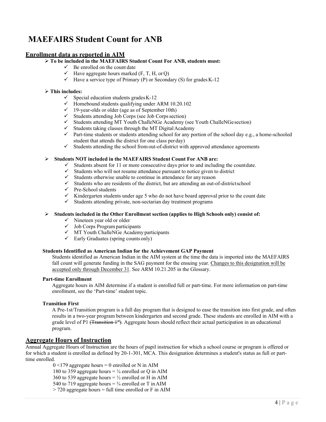# **MAEFAIRS Student Count for ANB**

#### **Enrollment data as reported in AIM**

- **To be included in the MAEFAIRS Student Count For ANB, students must:** 
	- $\checkmark$  Be enrolled on the count date
		- $\checkmark$  Have aggregate hours marked (F, T, H, or Q)
		- $\checkmark$  Have a service type of Primary (P) or Secondary (S) for grades K-12

#### **This includes:**

- $\checkmark$  Special education students grades K-12
- $\checkmark$  Homebound students qualifying under ARM 10.20.102
- $\checkmark$  19-year-olds or older (age as of September 10th)
- $\checkmark$  Students attending Job Corps (see Job Corps section)
- $\checkmark$  Students attending MT Youth ChalleNGe Academy (see Youth ChalleNGe section)
- $\checkmark$  Students taking classes through the MT Digital Academy
- $\checkmark$  Part-time students or students attending school for any portion of the school day e.g., a home-schooled student that attends the district for one class per day)
- $\checkmark$  Students attending the school from out-of-district with approved attendance agreements

#### **Students NOT included in the MAEFAIRS Student Count For ANB are:**

- $\checkmark$  Students absent for 11 or more consecutive days prior to and including the count date.
- $\checkmark$  Students who will not resume attendance pursuant to notice given to district
- $\checkmark$  Students otherwise unable to continue in attendance for any reason
- $\checkmark$  Students who are residents of the district, but are attending an out-of-district school
- $\checkmark$  Pre-School students
- $\checkmark$  Kindergarten students under age 5 who do not have board approval prior to the count date
- $\checkmark$  Students attending private, non-sectarian day treatment programs

#### **Students included in the Other Enrollment section (applies to High Schools only) consist of:**

- $\checkmark$  Nineteen year old or older
- $\checkmark$  Job Corps Program participants
- $\checkmark$  MT Youth ChalleNGe Academy participants
- $\checkmark$  Early Graduates (spring counts only)

#### **Students Identified as American Indian for the Achievement GAP Payment**

Students identified as American Indian in the AIM system at the time the data is imported into the MAEFAIRS fall count will generate funding in the SAG payment for the ensuing year. Changes to this designation will be accepted only through December 31. See ARM 10.21.205 in the Glossary.

#### **Part-time Enrollment**

Aggregate hours in AIM determine if a student is enrolled full or part-time. For more information on part-time enrollment, see the 'Part-time' student topic.

#### **Transition First**

A Pre-1st/Transition program is a full day program that is designed to ease the transition into first grade, and often results in a two-year program between kindergarten and second grade. These students are enrolled in AIM with a grade level of P1 (Transition 1<sup>st</sup>). Aggregate hours should reflect their actual participation in an educational program.

#### **Aggregate Hours of Instruction**

Annual Aggregate Hours of Instruction are the hours of pupil instruction for which a school course or program is offered or for which a student is enrolled as defined by 20-1-301, MCA. This designation determines a student's status as full or parttime enrolled.

> $0 < 179$  aggregate hours = 0 enrolled or N in AIM 180 to 359 aggregate hours =  $\frac{1}{4}$  enrolled or Q in AIM 360 to 539 aggregate hours =  $\frac{1}{2}$  enrolled or H in AIM 540 to 719 aggregate hours =  $\frac{3}{4}$  enrolled or T in AIM > 720 aggregate hours = full time enrolled or F in AIM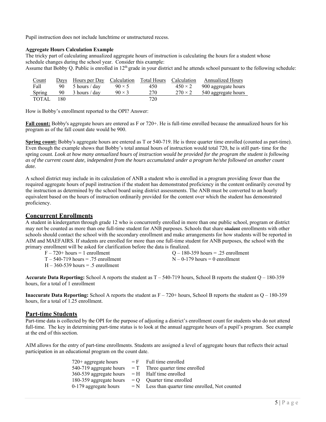Pupil instruction does not include lunchtime or unstructured recess.

#### **Aggregate Hours Calculation Example**

The tricky part of calculating annualized aggregate hours of instruction is calculating the hours for a student whose schedule changes during the school year. Consider this example:

Assume that Bobby Q. Public is enrolled in 12<sup>th</sup> grade in your district and he attends school pursuant to the following schedule:

| <b>Count</b> | Days | Hours per Day | Calculation   | Total Hours | Calculation    | Annualized Hours    |
|--------------|------|---------------|---------------|-------------|----------------|---------------------|
| Fall         | 90   | 5 hours / day | $90 \times 5$ | 450         | $450 \times 2$ | 900 aggregate hours |
| Spring       | 90   | 3 hours / day | $90 \times 3$ | 270         | $270 \times 2$ | 540 aggregate hours |
| <b>TOTAL</b> | 180  |               |               | 720         |                |                     |

How is Bobby's enrollment reported to the OPI? Answer:

**Fall count:** Bobby's aggregate hours are entered as F or 720+. He is full-time enrolled because the annualized hours for his program as of the fall count date would be 900.

**Spring count:** Bobby's aggregate hours are entered as T or 540-719. He is three quarter time enrolled (counted as part-time). Even though the example shows that Bobby's total annual hours of instruction would total 720, he is still part- time for the spring count. *Look at how many annualized hours of instruction would be provided for the program the student is following as of the current count date, independent from the hours accumulated under a program he/she followed on another count date.* 

A school district may include in its calculation of ANB a student who is enrolled in a program providing fewer than the required aggregate hours of pupil instruction if the student has demonstrated proficiency in the content ordinarily covered by the instruction as determined by the school board using district assessments. The ANB must be converted to an hourly equivalent based on the hours of instruction ordinarily provided for the content over which the student has demonstrated proficiency.

#### **Concurrent Enrollments**

A student in kindergarten through grade 12 who is concurrently enrolled in more than one public school, program or district may not be counted as more than one full-time student for ANB purposes. Schools that share student enrollments with other schools should contact the school with the secondary enrollment and make arrangements for how students will be reported in AIM and MAEFAIRS. If students are enrolled for more than one full-time student for ANB purposes, the school with the primary enrollment will be asked for clarification before the data is finalized.

| $F - 720 + hours = 1$ enrollment    |
|-------------------------------------|
| $T = 540.7101$ $T = 75$ 11 $\ldots$ |

 $T - 540 - 719$  hours = .75 enrollment  $H - 360 - 539$  hours = .5 enrollment

 $Q - 180 - 359$  hours = .25 enrollment  $N - 0.179$  hours = 0 enrollment

**Accurate Data Reporting:** School A reports the student as T – 540-719 hours, School B reports the student Q – 180-359 hours, for a total of 1 enrollment

**Inaccurate Data Reporting:** School A reports the student as F – 720+ hours, School B reports the student as Q – 180-359 hours, for a total of 1.25 enrollment.

#### **Part-time Students**

Part-time data is collected by the OPI for the purpose of adjusting a district's enrollment count for students who do not attend full-time. The key in determining part-time status is to look at the annual aggregate hours of a pupil's program. See example at the end of this section.

AIM allows for the entry of part-time enrollments. Students are assigned a level of aggregate hours that reflects their actual participation in an educational program on the count date.

| $720+$ aggregate hours  | $=$ F Full time enrolled                          |
|-------------------------|---------------------------------------------------|
| 540-719 aggregate hours | $= T$ Three quarter time enrolled                 |
| 360-539 aggregate hours | $=$ H $\quad$ Half time enrolled                  |
| 180-359 aggregate hours | $=$ O Ouarter time enrolled                       |
| 0-179 aggregate hours   | $=N$ Less than quarter time enrolled, Not counted |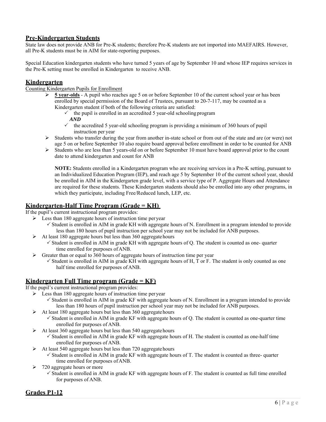## **Pre-Kindergarten Students**

State law does not provide ANB for Pre-K students; therefore Pre-K students are not imported into MAEFAIRS. However, all Pre-K students must be in AIM for state-reporting purposes.

Special Education kindergarten students who have turned 5 years of age by September 10 and whose IEP requires services in the Pre-K setting must be enrolled in Kindergarten to receive ANB.

#### **Kindergarten**

Counting Kindergarten Pupils for Enrollment

- **5 year-olds** A pupil who reaches age 5 on or before September 10 of the current school year or has been enrolled by special permission of the Board of Trustees, pursuant to 20-7-117, may be counted as a Kindergarten student if both of the following criteria are satisfied:
	- $\checkmark$  the pupil is enrolled in an accredited 5 year-old schooling program
	- *AND*
	- $\checkmark$  the accredited 5 year-old schooling program is providing a minimum of 360 hours of pupil instruction per year
- $\triangleright$  Students who transfer during the year from another in-state school or from out of the state and are (or were) not age 5 on or before September 10 also require board approval before enrollment in order to be counted for ANB
- $\triangleright$  Students who are less than 5 years-old on or before September 10 must have board approval prior to the count date to attend kindergarten and count for ANB

**NOTE:** Students enrolled in a Kindergarten program who are receiving services in a Pre-K setting, pursuant to an Individualized Education Program (IEP), and reach age 5 by September 10 of the current school year, should be enrolled in AIM in the Kindergarten grade level, with a service type of P. Aggregate Hours and Attendance are required for these students. These Kindergarten students should also be enrolled into any other programs, in which they participate, including Free/Reduced lunch, LEP, etc.

#### **Kindergarten-Half Time Program (Grade = KH)**

If the pupil's current instructional program provides:

- $\triangleright$  Less than 180 aggregate hours of instruction time per year
	- $\checkmark$  Student is enrolled in AIM in grade KH with aggregate hours of N. Enrollment in a program intended to provide less than 180 hours of pupil instruction per school year may not be included for ANB purposes.
- $\triangleright$  At least 180 aggregate hours but less than 360 aggregate hours
	- $\checkmark$  Student is enrolled in AIM in grade KH with aggregate hours of Q. The student is counted as one-quarter time enrolled for purposes of ANB.
- $\triangleright$  Greater than or equal to 360 hours of aggregate hours of instruction time per year
	- $\checkmark$  Student is enrolled in AIM in grade KH with aggregate hours of H, T or F. The student is only counted as one half time enrolled for purposes of ANB.

#### **Kindergarten Full Time program (Grade = KF)**

If the pupil's current instructional program provides:

- $\triangleright$  Less than 180 aggregate hours of instruction time per year
	- $\checkmark$  Student is enrolled in AIM in grade KF with aggregate hours of N. Enrollment in a program intended to provide less than 180 hours of pupil instruction per school year may not be included for ANB purposes.
- $\triangleright$  At least 180 aggregate hours but less than 360 aggregate hours
	- $\checkmark$  Student is enrolled in AIM in grade KF with aggregate hours of Q. The student is counted as one-quarter time enrolled for purposes of ANB.
- $\triangleright$  At least 360 aggregate hours but less than 540 aggregate hours
	- $\checkmark$  Student is enrolled in AIM in grade KF with aggregate hours of H. The student is counted as one-half time enrolled for purposes of ANB.
- $\triangleright$  At least 540 aggregate hours but less than 720 aggregate hours
	- $\checkmark$  Student is enrolled in AIM in grade KF with aggregate hours of T. The student is counted as three-quarter time enrolled for purposes of ANB.
- $\geq 720$  aggregate hours or more
	- $\checkmark$  Student is enrolled in AIM in grade KF with aggregate hours of F. The student is counted as full time enrolled for purposes of ANB.

## **Grades P1-12**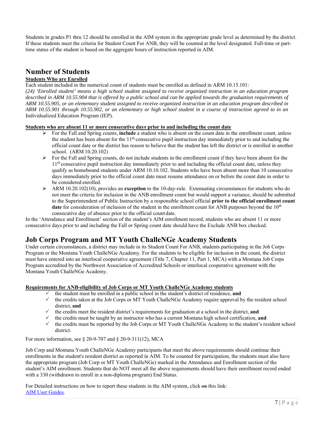Students in grades P1 thru 12 should be enrolled in the AIM system in the appropriate grade level as determined by the district. If these students meet the criteria for Student Count For ANB, they will be counted at the level designated. Full-time or parttime status of the student is based on the aggregate hours of instruction reported in AIM.

# **Number of Students**

#### **Students Who are Enrolled**

Each student included in the numerical count of students must be enrolled as defined in ARM 10.15.101:

*(24) 'Enrolled student' means a high school student assigned to receive organized instruction in an education program described in ARM 10.55.904 that is offered by a public school and can be applied towards the graduation requirements of ARM 10.55.905, or an elementary student assigned to receive organized instruction in an education program described in ARM 10.55.901 through 10.55.902, or an elementary or high school student in a course of instruction agreed to in an*  Individualized Education Program (IEP)*.* 

#### **Students who are absent 11 or more consecutive days prior to and including the count date**

- For the Fall and Spring counts, **include** a student who is absent on the count date in the enrollment count, unless the student has been absent for the  $11<sup>th</sup>$  consecutive pupil instruction day immediately prior to and including the official count date or the district has reason to believe that the student has left the district or is enrolled in another school. (ARM 10.20.102)
- $\triangleright$  For the Fall and Spring counts, do not include students in the enrollment count if they have been absent for the 11<sup>th</sup> consecutive pupil instruction day immediately prior to and including the official count date, unless they qualify as homebound students under ARM 10.10.102. Students who have been absent more than 10 consecutive days immediately prior to the official count date must resume attendance on or before the count date in order to be considered enrolled.
- ARM 10.20.102(10), provides an **exception** to the 10-day-rule. Extenuating circumstances for students who do not meet the criteria for inclusion in the ANB enrollment count but would support a variance, should be submitted to the Superintendent of Public Instruction by a responsible school official **prior to the official enrollment count**  date for consideration of inclusion of the student in the enrollment count for ANB purposes beyond the 10<sup>th</sup> consecutive day of absence prior to the official count date.

In the 'Attendance and Enrollment' section of the student's AIM enrollment record, students who are absent 11 or more consecutive days prior to and including the Fall or Spring count date should have the Exclude ANB box checked.

# **Job Corps Program and MT Youth ChalleNGe Academy Students**

Under certain circumstances, a district may include in its Student Count For ANB, students participating in the Job Corps Program or the Montana Youth ChalleNGe Academy. For the students to be eligible for inclusion in the count, the district must have entered into an interlocal cooperative agreement (Title 7, Chapter 11, Part 1, MCA) with a Montana Job Corps Program accredited by the Northwest Association of Accredited Schools or interlocal cooperative agreement with the Montana Youth ChalleNGe Academy.

#### **Requirements for ANB-eligibility of Job Corps or MT Youth ChalleNGe Academy students**

- the student must be enrolled in a public school in the student's district of residence, **and**
- $\checkmark$  the credits taken at the Job Corps or MT Youth ChalleNGe Academy require approval by the resident school district, **and**
- $\checkmark$  the credits meet the resident district's requirements for graduation at a school in the district, and
- the credits must be taught by an instructor who has a current Montana high school certification, **and**
- $\checkmark$  the credits must be reported by the Job Corps or MT Youth ChalleNGe Academy to the student's resident school district.

For more information, see § 20-9-707 and § 20-9-311(12), MCA

Job Corp and Montana Youth ChalleNGe Academy participants that meet the above requirements should continue their enrollments in the student's resident district as reported in AIM. To be counted for participation, the students must also have the appropriate program (Job Corp or MT Youth ChalleNGe) marked in the Attendance and Enrollment section of the student's AIM enrollment. Students that do NOT meet all the above requirements should have their enrollment record ended with a 330 (withdrawn to enroll in a non-diploma program) End Status.

For Detailed instructions on how to report these students in the AIM system, click on this link: AIM User Guides.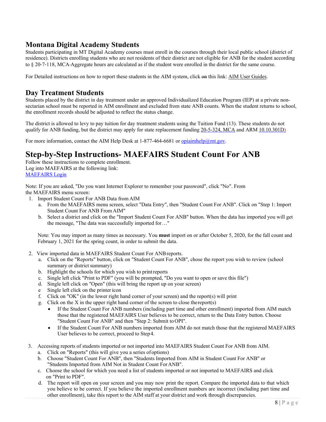# **Montana Digital Academy Students**

Students participating in MT Digital Academy courses must enroll in the courses through their local public school (district of residence). Districts enrolling students who are not residents of their district are not eligible for ANB for the student according to § 20-7-118, MCA Aggregate hours are calculated as if the student were enrolled in the district for the same course.

For Detailed instructions on how to report these students in the AIM system, click on this link: AIM User Guides.

# **Day Treatment Students**

Students placed by the district in day treatment under an approved Individualized Education Program (IEP) at a private nonsectarian school must be reported in AIM enrollment and excluded from state ANB counts. When the student returns to school, the enrollment records should be adjusted to reflect the status change.

The district is allowed to levy to pay tuition for day treatment students using the Tuition Fund (13). These students do not qualify for ANB funding, but the district may apply for state replacement funding 20-5-324, MCA and ARM 10.10.301D)

For more information, contact the AIM Help Desk at 1-877-464-6681 or opiaimhelp@mt.gov.

# **Step-by-Step Instructions- MAEFAIRS Student Count For ANB**

Follow these instructions to complete enrollment. Log into MAEFAIRS at the following link: MAEFAIRS Login

Note: If you are asked, "Do you want Internet Explorer to remember your password", click "No". From the MAEFAIRS menu screen:

- 1. Import Student Count For ANB Data from AIM
	- a. From the MAEFAIRS menu screen, select "Data Entry", then "Student Count For ANB". Click on "Step 1: Import Student Count For ANB From AIM"
	- b. Select a district and click on the "Import Student Count For ANB" button. When the data has imported you will get the message, "The data was successfully imported for …"

Note: You may import as many times as necessary. You **must** import on or after October 5, 2020, for the fall count and February 1, 2021 for the spring count, in order to submit the data.

- 2. View imported data in MAEFAIRS Student Count For ANB reports.
	- a. Click on the "Reports" button, click on "Student Count For ANB", chose the report you wish to review (school summary or district summary)
	- b. Highlight the schools for which you wish to print reports
	- c. Single left click "Print to PDF" (you will be prompted, "Do you want to open or save this file")
	- d. Single left click on "Open" (this will bring the report up on your screen)
	- e Single left click on the printer icon
	- f. Click on "OK" (in the lower right hand corner of your screen) and the report(s) will print
	- g. Click on the X in the upper right hand corner of the screen to close the report(s)
		- If the Student Count For ANB numbers (including part time and other enrollment) imported from AIM match those that the registered MAEFAIRS User believes to be correct, return to the Data Entry button. Choose "Student Count For ANB" and then "Step 2: Submit to OPI".
		- If the Student Count For ANB numbers imported from AIM do not match those that the registered MAEFAIRS User believes to be correct, proceed to Step 4.
- 3. Accessing reports of students imported or not imported into MAEFAIRS Student Count For ANB from AIM.
	- a. Click on "Reports" (this will give you a series of options)
	- b. Choose "Student Count For ANB", then "Students Imported from AIM in Student Count For ANB" or "Students Imported from AIM Not in Student Count For ANB".
	- c. Choose the school for which you need a list of students imported or not imported to MAEFAIRS and click on "Print to PDF".
	- d. The report will open on your screen and you may now print the report. Compare the imported data to that which you believe to be correct. If you believe the imported enrollment numbers are incorrect (including part time and other enrollment), take this report to the AIM staff at your district and work through discrepancies.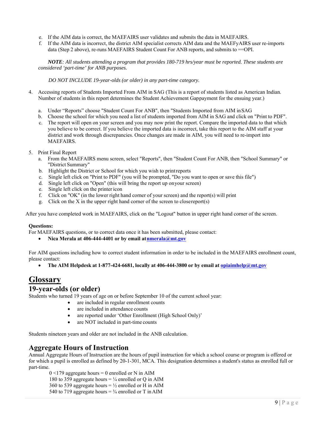- e. If the AIM data is correct, the MAEFAIRS user validates and submits the data in MAEFAIRS.
- f. If the AIM data is incorrect, the district AIM specialist corrects AIM data and the MAEFyAIRS user re-imports data (Step 2 above), re-runs MAEFAIRS Student Count For ANB reports, and submits to == OPI.

*NOTE: All students attending a program that provides 180-719 hrs/year must be reported. These students are considered 'part-time' for ANB purposes.* 

*DO NOT INCLUDE 19-year-olds (or older) in any part-time category.* 

- 4. Accessing reports of Students Imported From AIM in SAG (This is a report of students listed as American Indian. Number of students in this report determines the Student Achievement Gap payment for the ensuing year.)
	- a. Under "Reports" choose "Student Count For ANB", then "Students Imported from AIM in SAG
	- b. Choose the school for which you need a list of students imported from AIM in SAG and click on "Print to PDF".
	- c. The report will open on your screen and you may now print the report. Compare the imported data to that which you believe to be correct. If you believe the imported data is incorrect, take this report to the AIM staff at your district and work through discrepancies. Once changes are made in AIM, you will need to re-import into MAEFAIRS.
- 5. Print Final Report
	- a. From the MAEFAIRS menu screen, select "Reports", then "Student Count For ANB, then "School Summary" or "District Summary"
	- b. Highlight the District or School for which you wish to print reports
	- c. Single left click on "Print to PDF" (you will be prompted, "Do you want to open or save this file")
	- d. Single left click on "Open" (this will bring the report up on your screen)
	- e. Single left click on the printer icon
	- f. Click on "OK" (in the lower right hand corner of your screen) and the report(s) will print
	- g. Click on the X in the upper right hand corner of the screen to close report(s)

After you have completed work in MAEFAIRS, click on the "Logout" button in upper right hand corner of the screen.

#### **Questions:**

For MAEFAIRS questions, or to correct data once it has been submitted, please contact:

Nica Merala at 406-444-4401 or by email at nmerala@mt.gov

For AIM questions including how to correct student information in order to be included in the MAEFAIRS enrollment count, please contact:

• The AIM Helpdesk at 1-877-424-6681, locally at 406-444-3800 or by email at opiaimhelp@mt.gov

# **Glossary**

#### **19-year-olds (or older)**

Students who turned 19 years of age on or before September 10 of the current school year:

- are included in regular enrollment counts
- are included in attendance counts
- are reported under 'Other Enrollment (High School Only)'
- are NOT included in part-time counts

Students nineteen years and older are not included in the ANB calculation.

## **Aggregate Hours of Instruction**

Annual Aggregate Hours of Instruction are the hours of pupil instruction for which a school course or program is offered or for which a pupil is enrolled as defined by 20-1-301, MCA. This designation determines a student's status as enrolled full or part-time.

 $0 < 179$  aggregate hours = 0 enrolled or N in AIM 180 to 359 aggregate hours =  $\frac{1}{4}$  enrolled or Q in AIM 360 to 539 aggregate hours =  $\frac{1}{2}$  enrolled or H in AIM 540 to 719 aggregate hours =  $\frac{3}{4}$  enrolled or T in AIM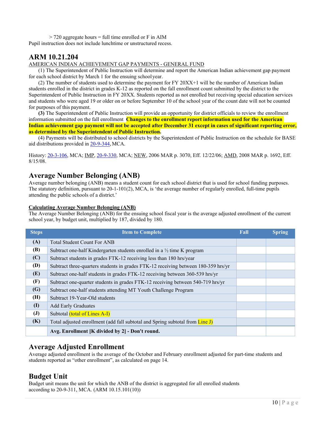> 720 aggregate hours = full time enrolled or F in AIM Pupil instruction does not include lunchtime or unstructured recess.

# **ARM 10.21.204**

#### AMERICAN INDIAN ACHIEVEMENT GAP PAYMENTS - GENERAL FUND

(1) The Superintendent of Public Instruction will determine and report the American Indian achievement gap payment for each school district by March 1 for the ensuing school year.

(2) The number of students used to determine the payment for FY 20XX+1 will be the number of American Indian students enrolled in the district in grades K-12 as reported on the fall enrollment count submitted by the district to the Superintendent of Public Instruction in FY 20XX. Students reported as not enrolled but receiving special education services and students who were aged 19 or older on or before September 10 of the school year of the count date will not be counted for purposes of this payment.

**(3)** The Superintendent of Public Instruction will provide an opportunity for district officials to review the enrollment information submitted on the fall enrollment **Changes to the enrollment report information used for the American Indian achievement gap payment will not be accepted after December 31 except in cases of significant reporting error, as determined by the Superintendent of Public Instruction.** 

(4) Payments will be distributed to school districts by the Superintendent of Public Instruction on the schedule for BASE aid distributions provided in 20-9-344, MCA.

History: 20-3-106, MCA; IMP, 20-9-330, MCA; NEW, 2006 MAR p. 3070, Eff. 12/22/06; AMD, 2008 MAR p. 1692, Eff. 8/15/08.

# **Average Number Belonging (ANB)**

Average number belonging (ANB) means a student count for each school district that is used for school funding purposes. The statutory definition, pursuant to  $20-1-101(2)$ , MCA, is 'the average number of regularly enrolled, full-time pupils attending the public schools of a district.'

#### **Calculating Average Number Belonging (ANB)**

The Average Number Belonging (ANB) for the ensuing school fiscal year is the average adjusted enrollment of the current school year, by budget unit, multiplied by 187, divided by 180.

| <b>Steps</b> | <b>Item to Complete</b>                                                            | Fall | <b>Spring</b> |
|--------------|------------------------------------------------------------------------------------|------|---------------|
| (A)          | <b>Total Student Count For ANB</b>                                                 |      |               |
| <b>(B)</b>   | Subtract one-half Kindergarten students enrolled in a $\frac{1}{2}$ time K program |      |               |
| (C)          | Subtract students in grades FTK-12 receiving less than 180 hrs/year                |      |               |
| <b>(D)</b>   | Subtract three-quarters students in grades FTK-12 receiving between 180-359 hrs/yr |      |               |
| (E)          | Subtract one-half students in grades FTK-12 receiving between 360-539 hrs/yr       |      |               |
| (F)          | Subtract one-quarter students in grades FTK-12 receiving between 540-719 hrs/yr    |      |               |
| (G)          | Subtract one-half students attending MT Youth Challenge Program                    |      |               |
| (H)          | Subtract 19-Year-Old students                                                      |      |               |
| (I)          | <b>Add Early Graduates</b>                                                         |      |               |
| $\mathbf{J}$ | Subtotal <i>(total of Lines A-I)</i>                                               |      |               |
| (K)          | Total adjusted enrollment (add fall subtotal and Spring subtotal from Line J)      |      |               |
|              | Avg. Enrollment [K divided by 2] - Don't round.                                    |      |               |

# **Average Adjusted Enrollment**

Average adjusted enrollment is the average of the October and February enrollment adjusted for part-time students and students reported as "other enrollment", as calculated on page 14.

# **Budget Unit**

Budget unit means the unit for which the ANB of the district is aggregated for all enrolled students according to 20-9-311, MCA. (ARM 10.15.101(10))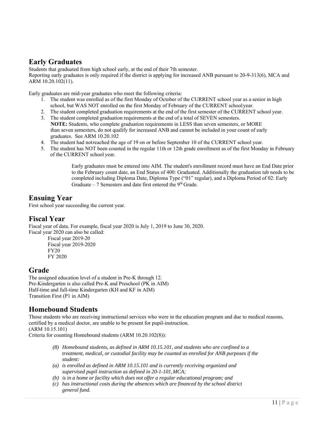# **Early Graduates**

Students that graduated from high school early, at the end of their 7th semester.

Reporting early graduates is only required if the district is applying for increased ANB pursuant to 20-9-313(6), MCA and ARM 10.20.102(11).

Early graduates are mid-year graduates who meet the following criteria:

- 1. The student was enrolled as of the first Monday of October of the CURRENT school year as a senior in high school, but WAS NOT enrolled on the first Monday of February of the CURRENT school year.
- 2. The student completed graduation requirements at the end of the first semester of the CURRENT school year.
- 3. The student completed graduation requirements at the end of a total of SEVEN semesters. **NOTE:** Students, who complete graduation requirements in LESS than seven semesters, or MORE than seven semesters, do not qualify for increased ANB and cannot be included in your count of early graduates. See ARM 10.20.102
- 4. The student had not reached the age of 19 on or before September 10 of the CURRENT school year.
- 5. The student has NOT been counted in the regular 11th or 12th grade enrollment as of the first Monday in February of the CURRENT school year.

Early graduates must be entered into AIM. The student's enrollment record must have an End Date prior to the February count date, an End Status of 400: Graduated. Additionally the graduation tab needs to be completed including Diploma Date, Diploma Type ("01" regular), and a Diploma Period of 02: Early Graduate  $-7$  Semesters and date first entered the  $9<sup>th</sup>$  Grade.

# **Ensuing Year**

First school year succeeding the current year.

# **Fiscal Year**

Fiscal year of data. For example, fiscal year 2020 is July 1, 2019 to June 30, 2020. Fiscal year 2020 can also be called:

> Fiscal year 2019-20 Fiscal year 2019-2020 FY20 FY 2020

# **Grade**

The assigned education level of a student in Pre-K through 12. Pre-Kindergarten is also called Pre-K and Preschool (PK in AIM) Half-time and full-time Kindergarten (KH and KF in AIM) Transition First (P1 in AIM)

# **Homebound Students**

Those students who are receiving instructional services who were in the education program and due to medical reasons, certified by a medical doctor, are unable to be present for pupil-instruction. (ARM 10.15.101)

Criteria for counting Homebound students (ARM 10.20.102(8)):

- *(8) Homebound students, as defined in ARM 10.15.101, and students who are confined to a treatment, medical, or custodial facility may be counted as enrolled for ANB purposes if the student:*
- *(a) is enrolled as defined in ARM 10.15.101 and is currently receiving organized and supervised pupil instruction as defined in 20-1-101, MCA;*
- *(b) is in a home or facility which does not offer a regular educational program; and*
- *(c) has instructional costs during the absences which are financed by the school district general fund.*